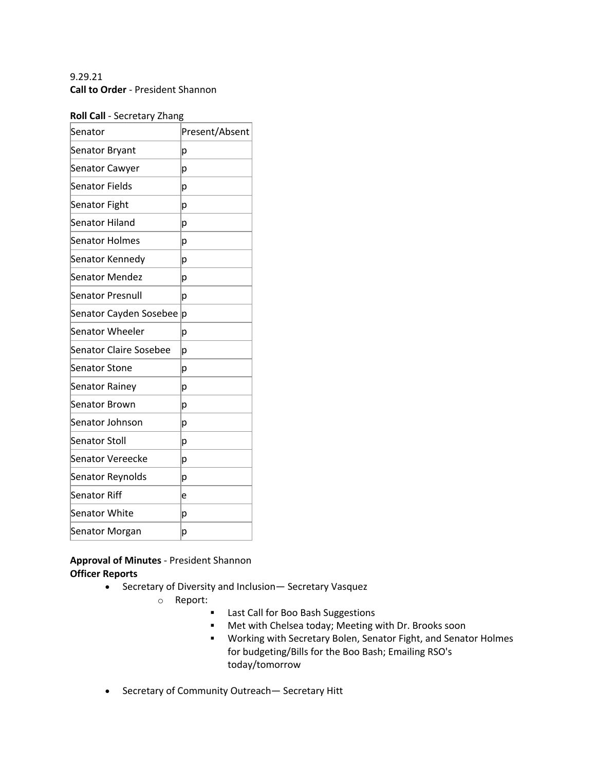# 9.29.21 **Call to Order** - President Shannon

### **Roll Call** - Secretary Zhang

| .0                            |                |
|-------------------------------|----------------|
| Senator                       | Present/Absent |
| Senator Bryant                | p              |
| <b>Senator Cawyer</b>         | p              |
| Senator Fields                | р              |
| <b>Senator Fight</b>          | р              |
| <b>Senator Hiland</b>         | р              |
| <b>Senator Holmes</b>         | p              |
| Senator Kennedy               | р              |
| Senator Mendez                | р              |
| Senator Presnull              | p              |
| Senator Cayden Sosebee        | p              |
| Senator Wheeler               | р              |
| <b>Senator Claire Sosebee</b> | р              |
| <b>Senator Stone</b>          | p              |
| <b>Senator Rainey</b>         | p              |
| <b>Senator Brown</b>          | р              |
| Senator Johnson               | p              |
| <b>Senator Stoll</b>          | р              |
| Senator Vereecke              | p              |
| Senator Reynolds              | p              |
| <b>Senator Riff</b>           | e              |
| <b>Senator White</b>          | р              |
| Senator Morgan                | p              |

## **Approval of Minutes** - President Shannon **Officer Reports**

- Secretary of Diversity and Inclusion— Secretary Vasquez
	- o Report:
		- Last Call for Boo Bash Suggestions
		- Met with Chelsea today; Meeting with Dr. Brooks soon
		- § Working with Secretary Bolen, Senator Fight, and Senator Holmes for budgeting/Bills for the Boo Bash; Emailing RSO's today/tomorrow
- Secretary of Community Outreach— Secretary Hitt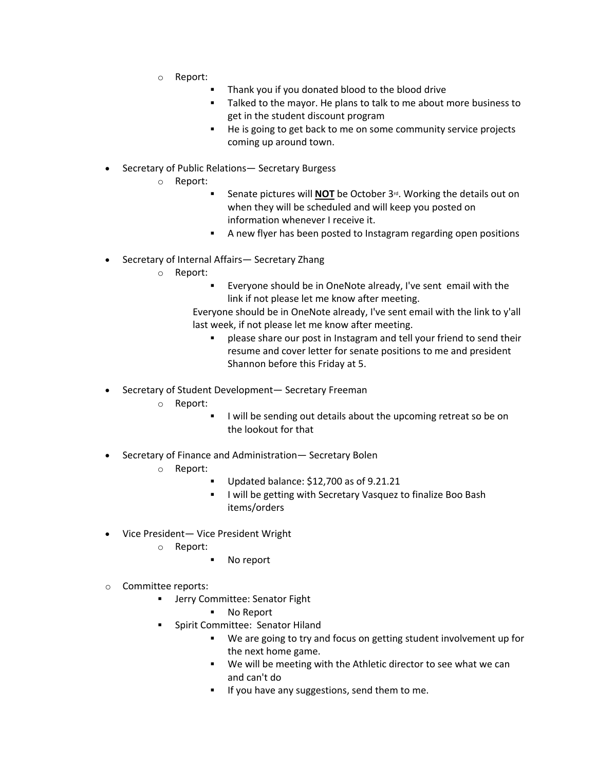- o Report:
	- Thank you if you donated blood to the blood drive
	- Talked to the mayor. He plans to talk to me about more business to get in the student discount program
	- He is going to get back to me on some community service projects coming up around town.
- Secretary of Public Relations— Secretary Burgess
	- o Report:
		- § Senate pictures will **NOT** be October 3rd. Working the details out on when they will be scheduled and will keep you posted on information whenever I receive it.
		- A new flyer has been posted to Instagram regarding open positions
- Secretary of Internal Affairs— Secretary Zhang
	- o Report:
		- Everyone should be in OneNote already, I've sent email with the link if not please let me know after meeting.

Everyone should be in OneNote already, I've sent email with the link to y'all last week, if not please let me know after meeting.

- § please share our post in Instagram and tell your friend to send their resume and cover letter for senate positions to me and president Shannon before this Friday at 5.
- Secretary of Student Development— Secretary Freeman
	- o Report:
		- I will be sending out details about the upcoming retreat so be on the lookout for that
- Secretary of Finance and Administration— Secretary Bolen
	- o Report:
		- § Updated balance: \$12,700 as of 9.21.21
		- **I will be getting with Secretary Vasquez to finalize Boo Bash** items/orders
- Vice President— Vice President Wright
	- o Report:
		- No report
- o Committee reports:
	- § Jerry Committee: Senator Fight
		- § No Report
	- § Spirit Committee: Senator Hiland
		- § We are going to try and focus on getting student involvement up for the next home game.
		- We will be meeting with the Athletic director to see what we can and can't do
		- **•** If you have any suggestions, send them to me.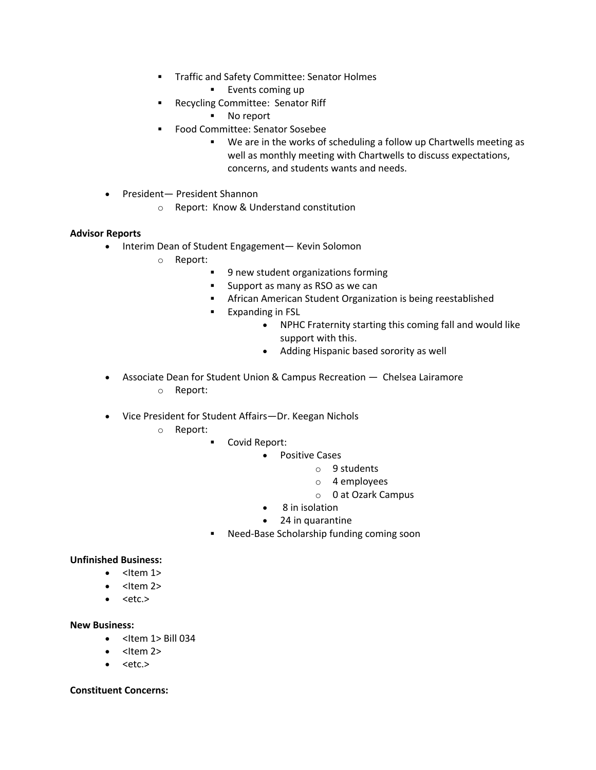- § Traffic and Safety Committee: Senator Holmes
	- § Events coming up
- § Recycling Committee: Senator Riff
	- No report
- § Food Committee: Senator Sosebee
	- § We are in the works of scheduling a follow up Chartwells meeting as well as monthly meeting with Chartwells to discuss expectations, concerns, and students wants and needs.
- President— President Shannon
	- o Report: Know & Understand constitution

### **Advisor Reports**

- Interim Dean of Student Engagement— Kevin Solomon
	- o Report:
		- § 9 new student organizations forming
		- Support as many as RSO as we can
		- **•** African American Student Organization is being reestablished
		- § Expanding in FSL
			- NPHC Fraternity starting this coming fall and would like support with this.
			- Adding Hispanic based sorority as well
- Associate Dean for Student Union & Campus Recreation Chelsea Lairamore o Report:
- Vice President for Student Affairs—Dr. Keegan Nichols
	- o Report:
- § Covid Report:
	- Positive Cases
		- o 9 students
		- o 4 employees
		- o 0 at Ozark Campus
	- 8 in isolation
	- 24 in quarantine
- § Need-Base Scholarship funding coming soon

### **Unfinished Business:**

- $\bullet$  <Item 1>
- $\bullet$  <Item 2>
- $\bullet$  <etc.>

### **New Business:**

- $\bullet$  <Item 1> Bill 034
- $\bullet$  <Item 2>
- <etc.>

#### **Constituent Concerns:**